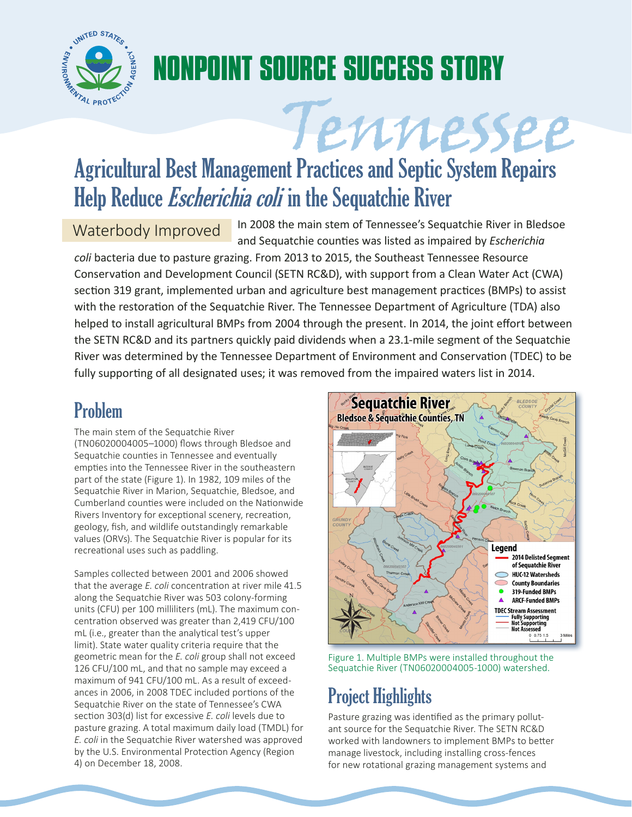

# **NONPOINT SOURCE SUCCESS STORY**

# Tennessee Agricultural Best Management Practices and Septic System Repairs Help Reduce *Escherichia coli* in the Sequatchie River

Waterbody Improved In 2008 the main stem of Tennessee's Sequatchie River in Bledsoe and Sequatchie counties was listed as impaired by *Escherichia* 

*coli* bacteria due to pasture grazing. From 2013 to 2015, the Southeast Tennessee Resource Conservation and Development Council (SETN RC&D), with support from a Clean Water Act (CWA) section 319 grant, implemented urban and agriculture best management practices (BMPs) to assist with the restoration of the Sequatchie River. The Tennessee Department of Agriculture (TDA) also helped to install agricultural BMPs from 2004 through the present. In 2014, the joint effort between the SETN RC&D and its partners quickly paid dividends when a 23.1-mile segment of the Sequatchie River was determined by the Tennessee Department of Environment and Conservation (TDEC) to be fully supporting of all designated uses; it was removed from the impaired waters list in 2014.

# Problem

The main stem of the Sequatchie River (TN06020004005–1000) flows through Bledsoe and Sequatchie counties in Tennessee and eventually empties into the Tennessee River in the southeastern part of the state (Figure 1). In 1982, 109 miles of the Sequatchie River in Marion, Sequatchie, Bledsoe, and Cumberland counties were included on the Nationwide Rivers Inventory for exceptional scenery, recreation, geology, fish, and wildlife outstandingly remarkable values (ORVs). The Sequatchie River is popular for its recreational uses such as paddling.

Samples collected between 2001 and 2006 showed that the average *E. coli* concentration at river mile 41.5 along the Sequatchie River was 503 colony-forming units (CFU) per 100 milliliters (mL). The maximum concentration observed was greater than 2,419 CFU/100 mL (i.e., greater than the analytical test's upper limit). State water quality criteria require that the geometric mean for the *E. coli* group shall not exceed 126 CFU/100 mL, and that no sample may exceed a maximum of 941 CFU/100 mL. As a result of exceedances in 2006, in 2008 TDEC included portions of the Sequatchie River on the state of Tennessee's CWA section 303(d) list for excessive *E. coli* levels due to pasture grazing. A total maximum daily load (TMDL) for *E. coli* in the Sequatchie River watershed was approved by the U.S. Environmental Protection Agency (Region 4) on December 18, 2008.



Figure 1. Multiple BMPs were installed throughout the Sequatchie River (TN06020004005-1000) watershed.

# Project Highlights

Pasture grazing was identified as the primary pollutant source for the Sequatchie River. The SETN RC&D worked with landowners to implement BMPs to better manage livestock, including installing cross-fences for new rotational grazing management systems and